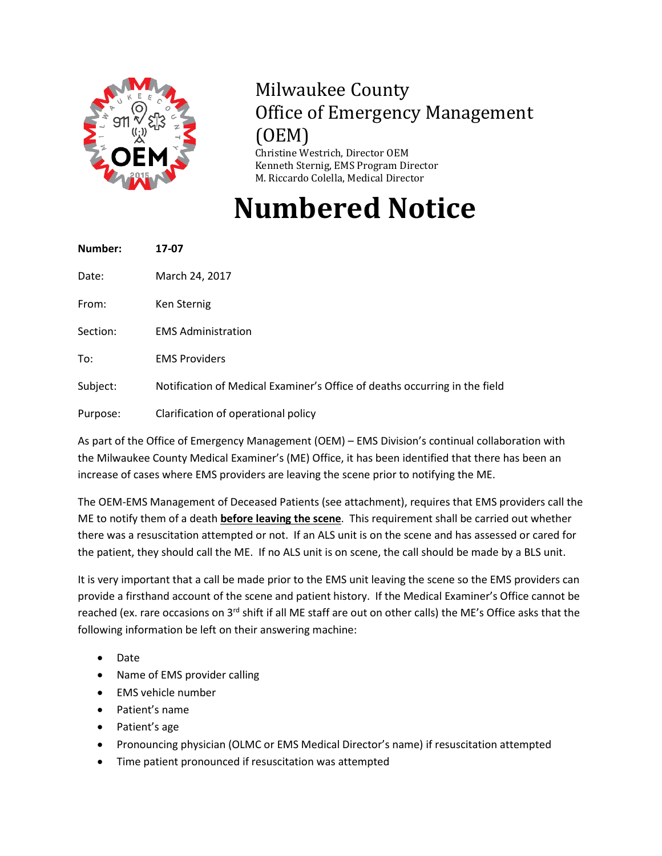

## Milwaukee County Office of Emergency Management (OEM) Christine Westrich, Director OEM

Kenneth Sternig, EMS Program Director M. Riccardo Colella, Medical Director

**Numbered Notice**

| Number:  | 17-07                                                                      |
|----------|----------------------------------------------------------------------------|
| Date:    | March 24, 2017                                                             |
| From:    | Ken Sternig                                                                |
| Section: | <b>EMS Administration</b>                                                  |
| To:      | <b>EMS Providers</b>                                                       |
| Subject: | Notification of Medical Examiner's Office of deaths occurring in the field |
| Purpose: | Clarification of operational policy                                        |

As part of the Office of Emergency Management (OEM) – EMS Division's continual collaboration with the Milwaukee County Medical Examiner's (ME) Office, it has been identified that there has been an increase of cases where EMS providers are leaving the scene prior to notifying the ME.

The OEM-EMS Management of Deceased Patients (see attachment), requires that EMS providers call the ME to notify them of a death **before leaving the scene**. This requirement shall be carried out whether there was a resuscitation attempted or not. If an ALS unit is on the scene and has assessed or cared for the patient, they should call the ME. If no ALS unit is on scene, the call should be made by a BLS unit.

It is very important that a call be made prior to the EMS unit leaving the scene so the EMS providers can provide a firsthand account of the scene and patient history. If the Medical Examiner's Office cannot be reached (ex. rare occasions on 3<sup>rd</sup> shift if all ME staff are out on other calls) the ME's Office asks that the following information be left on their answering machine:

- Date
- Name of EMS provider calling
- EMS vehicle number
- Patient's name
- Patient's age
- Pronouncing physician (OLMC or EMS Medical Director's name) if resuscitation attempted
- Time patient pronounced if resuscitation was attempted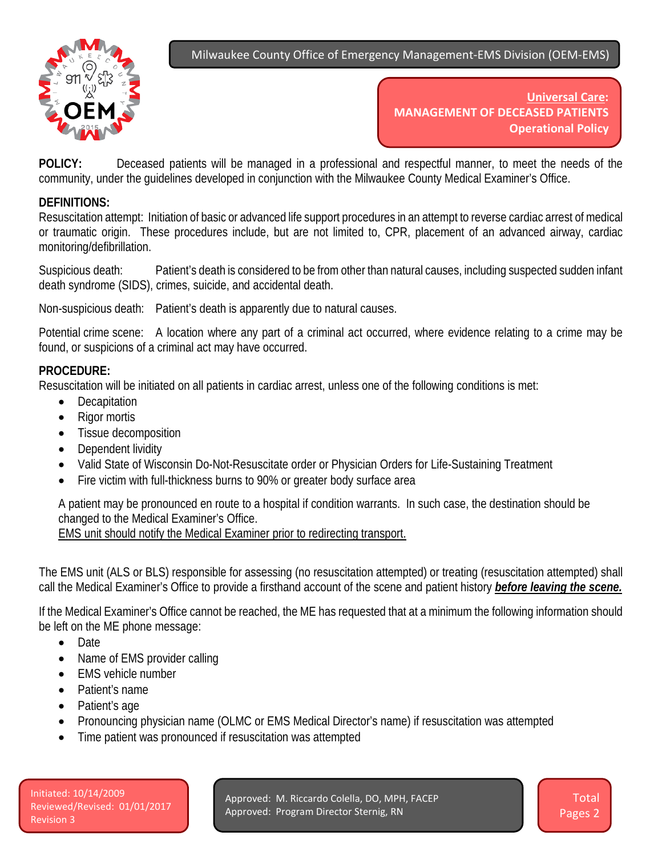Milwaukee County Office of Emergency Management-EMS Division (OEM-EMS)



**Universal Care: MANAGEMENT OF DECEASED PATIENTS Operational Policy**

**POLICY:** Deceased patients will be managed in a professional and respectful manner, to meet the needs of the community, under the guidelines developed in conjunction with the Milwaukee County Medical Examiner's Office.

## **DEFINITIONS:**

Resuscitation attempt: Initiation of basic or advanced life support procedures in an attempt to reverse cardiac arrest of medical or traumatic origin. These procedures include, but are not limited to, CPR, placement of an advanced airway, cardiac monitoring/defibrillation.

Suspicious death: Patient's death is considered to be from other than natural causes, including suspected sudden infant death syndrome (SIDS), crimes, suicide, and accidental death.

Non-suspicious death: Patient's death is apparently due to natural causes.

Potential crime scene: A location where any part of a criminal act occurred, where evidence relating to a crime may be found, or suspicions of a criminal act may have occurred.

## **PROCEDURE:**

Resuscitation will be initiated on all patients in cardiac arrest, unless one of the following conditions is met:

- Decapitation
- Rigor mortis
- Tissue decomposition
- Dependent lividity
- Valid State of Wisconsin Do-Not-Resuscitate order or Physician Orders for Life-Sustaining Treatment
- Fire victim with full-thickness burns to 90% or greater body surface area

A patient may be pronounced en route to a hospital if condition warrants. In such case, the destination should be changed to the Medical Examiner's Office.

EMS unit should notify the Medical Examiner prior to redirecting transport.

The EMS unit (ALS or BLS) responsible for assessing (no resuscitation attempted) or treating (resuscitation attempted) shall call the Medical Examiner's Office to provide a firsthand account of the scene and patient history *before leaving the scene.*

If the Medical Examiner's Office cannot be reached, the ME has requested that at a minimum the following information should be left on the ME phone message:

- Date
- Name of EMS provider calling
- EMS vehicle number
- Patient's name
- Patient's age
- Pronouncing physician name (OLMC or EMS Medical Director's name) if resuscitation was attempted
- Time patient was pronounced if resuscitation was attempted

Approved: M. Riccardo Colella, DO, MPH, FACEP Approved: Program Director Sternig, RN